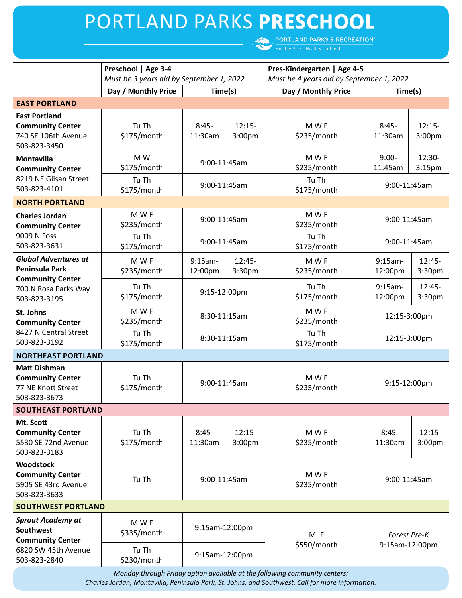# PORTLAND PARKS **PRESCHOOL**

**PORTLAND PARKS & RECREATION**  $\mathbf{C}$ 

|                                                                                                                  | Preschool   Age 3-4<br>Must be 3 years old by September 1, 2022 |                       |                                | Pres-Kindergarten   Age 4-5<br>Must be 4 years old by September 1, 2022 |                                |                                |
|------------------------------------------------------------------------------------------------------------------|-----------------------------------------------------------------|-----------------------|--------------------------------|-------------------------------------------------------------------------|--------------------------------|--------------------------------|
|                                                                                                                  | Day / Monthly Price                                             | Time(s)               |                                | Day / Monthly Price                                                     | Time(s)                        |                                |
| <b>EAST PORTLAND</b>                                                                                             |                                                                 |                       |                                |                                                                         |                                |                                |
| <b>East Portland</b><br><b>Community Center</b><br>740 SE 106th Avenue<br>503-823-3450                           | Tu Th<br>\$175/month                                            | $8:45-$<br>11:30am    | $12:15-$<br>3:00 <sub>pm</sub> | M W F<br>\$235/month                                                    | $8:45-$<br>11:30am             | $12:15-$<br>3:00 <sub>pm</sub> |
| <b>Montavilla</b><br><b>Community Center</b><br>8219 NE Glisan Street<br>503-823-4101                            | M W<br>\$175/month<br>Tu Th                                     | 9:00-11:45am          |                                | M W F<br>\$235/month<br>Tu Th                                           | $9:00-$<br>11:45am             | 12:30-<br>3:15 <sub>pm</sub>   |
|                                                                                                                  | \$175/month                                                     | 9:00-11:45am          |                                | \$175/month                                                             | 9:00-11:45am                   |                                |
| <b>NORTH PORTLAND</b>                                                                                            |                                                                 |                       |                                |                                                                         |                                |                                |
| <b>Charles Jordan</b><br><b>Community Center</b><br>9009 N Foss<br>503-823-3631                                  | M W F<br>\$235/month                                            | 9:00-11:45am          |                                | M W F<br>\$235/month                                                    | 9:00-11:45am                   |                                |
|                                                                                                                  | Tu Th<br>\$175/month                                            | 9:00-11:45am          |                                | Tu Th<br>\$175/month                                                    | 9:00-11:45am                   |                                |
| <b>Global Adventures at</b><br>Peninsula Park<br><b>Community Center</b><br>700 N Rosa Parks Way<br>503-823-3195 | M W F<br>\$235/month                                            | $9:15am -$<br>12:00pm | $12:45-$<br>3:30pm             | M W F<br>\$235/month                                                    | $9:15am -$<br>12:00pm          | $12:45-$<br>3:30pm             |
|                                                                                                                  | Tu Th<br>\$175/month                                            | 9:15-12:00pm          |                                | Tu Th<br>\$175/month                                                    | $9:15am -$<br>12:00pm          | $12:45-$<br>3:30pm             |
| St. Johns<br><b>Community Center</b>                                                                             | M W F<br>\$235/month                                            | 8:30-11:15am          |                                | M W F<br>\$235/month                                                    | 12:15-3:00pm                   |                                |
| 8427 N Central Street<br>503-823-3192                                                                            | Tu Th<br>\$175/month                                            | 8:30-11:15am          |                                | Tu Th<br>\$175/month                                                    | 12:15-3:00pm                   |                                |
| <b>NORTHEAST PORTLAND</b>                                                                                        |                                                                 |                       |                                |                                                                         |                                |                                |
| <b>Matt Dishman</b><br><b>Community Center</b><br>77 NE Knott Street<br>503-823-3673                             | Tu Th<br>\$175/month                                            | 9:00-11:45am          |                                | M W F<br>\$235/month                                                    | 9:15-12:00pm                   |                                |
| <b>SOUTHEAST PORTLAND</b>                                                                                        |                                                                 |                       |                                |                                                                         |                                |                                |
| Mt. Scott<br><b>Community Center</b><br>5530 SE 72nd Avenue<br>503-823-3183                                      | Tu Th<br>\$175/month                                            | $8:45-$<br>11:30am    | $12:15-$<br>3:00 <sub>pm</sub> | M W F<br>\$235/month                                                    | $8:45-$<br>11:30am             | $12:15-$<br>3:00pm             |
| <b>Woodstock</b><br><b>Community Center</b><br>5905 SE 43rd Avenue<br>503-823-3633                               | Tu Th                                                           | 9:00-11:45am          |                                | M W F<br>\$235/month                                                    | 9:00-11:45am                   |                                |
| <b>SOUTHWEST PORTLAND</b>                                                                                        |                                                                 |                       |                                |                                                                         |                                |                                |
| <b>Sprout Academy at</b><br><b>Southwest</b><br><b>Community Center</b><br>6820 SW 45th Avenue<br>503-823-2840   | M W F<br>\$335/month                                            | 9:15am-12:00pm        |                                | $M-F$                                                                   | Forest Pre-K<br>9:15am-12:00pm |                                |
|                                                                                                                  | Tu Th<br>\$230/month                                            | 9:15am-12:00pm        |                                | \$550/month                                                             |                                |                                |

*Monday through Friday option available at the following community centers: Charles Jordan, Montavilla, Peninsula Park, St. Johns, and Southwest. Call for more information.*